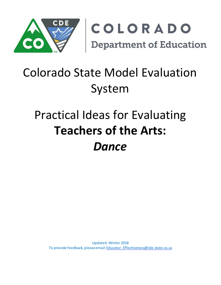

# Colorado State Model Evaluation System

# Practical Ideas for Evaluating **Teachers of the Arts:** *Dance*

Updated: Winter 2018 To provide feedback, please email[: Educator\\_Effectiveness@cde.state.co.us](mailto:Educator_Effectiveness@cde.state.co.us)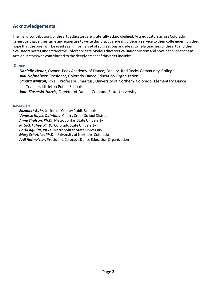## **Acknowledgements**

The many contributions of the arts educators are gratefully acknowledged. Arts educators across Colorado generously gave their time and expertise to write this practical ideas guide as a service to their colleagues. It is their hope that the brief will be used as an informal set of suggestions and ideas to help teachers of the arts and their evaluators better understand the Colorado State Model Educator Evaluation System and how it applies to them. Arts educators who contributed to the development of this brief include:

#### **Dance**

*Danielle Heller*, Owner, Peak Academy of Dance; Faculty, Red Rocks Community College *Judi Hofmeister*, President, Colorado Dance Education Organization *Sandra Minton*, Ph.D., Professor Emeritus, University of Northern Colorado; Elementary Dance Teacher, Littleton Public Schools Jane Slusarski-Harris, Director of Dance, Colorado State University

#### **Reviewers**

*Elizabeth Buhr*, Jefferson County Public Schools *Vanessa Hayes Quintana*, Cherry Creek School District *Anne Thulson, Ph.D.*, Metropolitan State University *Patrick Fahey, Ph.D.*, Colorado State University *Carla Aguilar, Ph.D.*, Metropolitan State University *Mary Schuttler*, *Ph.D*., University of Northern Colorado *Judi Hofmeister*, President, Colorado Dance Education Organization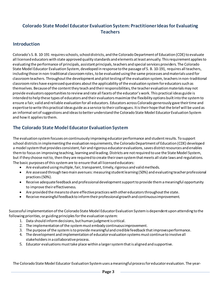## **Colorado State Model Educator Evaluation System: Practitioner Ideas for Evaluating Teachers**

### **Introduction**

Colorado's S. B. 10-191 requires schools, school districts, and the Colorado Department of Education (CDE) to evaluate all licensed educators with state approved quality standards and elements at least annually. This requirement applies to evaluating the performance of principals, assistant principals, teachers and special services providers. The Colorado State Model Educator Evaluation System, developed in response to the passage of S. B. 10-191, requires all teachers, including those in non-traditional classroom roles, to be evaluated using the same processes and materials used for classroom teachers. Throughout the development and pilot testing of the evaluation system, teachers in non-traditional classroom roles have expressed questions about the applicability of the evaluation system for educators such as themselves. Because of the content they teach and their responsibilities, the teacher evaluation materials may not provide evaluators opportunities to review and rate all facets of the educator's work. This practical ideas guide is intended to help these types of educators and their evaluators maximize the flexibility options built into the system to ensure a fair, valid and reliable evaluation for all educators. Educators across Colorado generously gave their time and expertise to write this practical ideas guide as a service to their colleagues. It is their hope that the brief will be used as an informal set of suggestions and ideas to better understand the Colorado State Model Educator Evaluation System and how it applies to them.

## **The Colorado State Model Educator Evaluation System**

The evaluation system focuses on continuously improving educator performance and student results. To support school districts in implementing the evaluation requirements, the Colorado Department of Education (CDE) developed a model system that provides consistent, fair and rigorous educator evaluations, saves district resources and enables them to focus on improving teaching, learning and leading. Districts are not required to use the State Model System, but if they choose not to, then they are required to create their own system that meets all state laws and regulations. The basic purposes of this system are to ensure that all licensed educators:

- Are evaluated using multiple, fair, transparent, timely, rigorous and valid methods.
- Are assessed through two main avenues: measuring student learning (50%) and evaluating teacher professional practices (50%).
- Receive adequate feedback and professional development support to provide them a meaningful opportunity to improve their effectiveness.
- Are provided the means to share effective practices with other educators throughout the state.
- Receive meaningful feedback to inform their professional growth and continuous improvement.

Successful implementation of the Colorado State Model Educator Evaluation System is dependent upon attending to the following priorities, or guiding principles for the evaluation system:

- 1. Data should inform decisions, but human judgmentis critical.
- 2. The implementation of the system must embody continuous improvement.
- 3. The purpose ofthe systemisto provide meaningfuland crediblefeedback thatimprovesperformance.
- 4. The development and implementation of educator evaluation systems must continue to involve all stakeholders in a collaborative process.
- 5. Educator evaluations must take place within a larger system that is aligned and supportive.

The Colorado State Model Educator Evaluation System uses a meaningful process for educator evaluation. The year-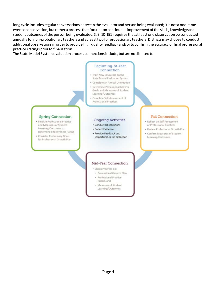long cycle includes regular conversations between the evaluator and person being evaluated; it is not a one-time event or observation, but rather a process that focuses on continuous improvement of the skills, knowledge and student outcomes of the person being evaluated. S. B. 10-191 requires that at least one observation be conducted annually for non-probationary teachers and at least two for probationary teachers. Districts may choose to conduct additional observations in order to provide high quality feedback and/or to confirm the accuracy of final professional practices ratings prior to finalization.

The State Model System evaluation process connections include, but are not limited to:

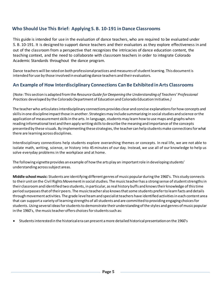## **Who Should Use This Brief: Applying S. B. 10-191 in Dance Classrooms**

This guide is intended for use in the evaluation of dance teachers, who are required to be evaluated under S. B. 10-191. It is designed to support dance teachers and their evaluators as they explore effectiveness in and out of the classroom from a perspective that recognizes the intricacies of dance education content, the teaching context, and the need to collaborate with classroom teachers in order to integrate Colorado Academic Standards throughout the dance program.

Dance teachers will be rated on both professional practices and measures of student learning. This document is intended for use by those involved in evaluating dance teachers and their evaluators.

## **An Example of How Interdisciplinary Connections Can Be Exhibited in Arts Classrooms**

(Note: This section is adapted from the *Resource Guide for Deepening the Understanding of Teachers' Professional Practices* developed by the Colorado Department of Education and Colorado Education Initiative*.)*

The teacher who articulates interdisciplinary connections provides clear and concise explanations for how concepts and skills in one discipline impact those in another. Strategies may include summarizing in social studies and science or the application of measurement skills in the arts. In language, students may learn how to use maps and graphs when reading informational text and then apply writing skills to describe the meaning and importance of the concepts presented by these visuals. By implementing these strategies, the teacher can help students make connections for what there are learning across disciplines.

Interdisciplinary connections help students explore overarching themes or concepts. In real life, we are not able to isolate math, writing, science, or history into 45 minutes of our day. Instead, we use all of our knowledge to help us solve everyday problems in the workplace and at home.

The following vignette provides an example of how the arts play an important role in developing students' understanding across subject areas.

**Middle school music:** Students are identifying different genres of music popular during the 1960's. This study connects to their unit on the Civil Rights Movement in social studies. The music teacher has a strong sense of student strengths in their classroom and identified two students, in particular, as real history buffs and knows their knowledge of this time period surpasses that of their peers. The music teacher also knows that some students prefer to learn facts and details through movement activities. The grade level team and specialist teachers have identified activities in each content area that can support a variety of learning strengths of all students and are committed to providing engaging choices for students. Using several ideas for students to demonstrate their understanding of the styles and genres of music popular in the 1960's, the music teacher offers choices for students such as:

• Studentsinterestedin the historicalera can present amore detailed historicalpresentationon the 1960's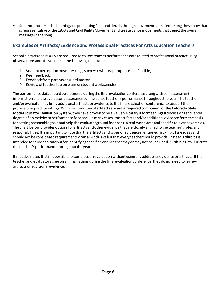• Students interested in learning and presenting facts and details through movement can select a song they know that is representative of the 1960's and Civil Rights Movement and create dance movements that depict the overall message in thesong.

# **Examples of Artifacts/Evidence and Professional Practices For Arts Education Teachers**

School districts and BOCES are required to collect teacher performance data related to professional practice using observations and at least one of the following measures:

- 1. Student perception measures (e.g., surveys), where appropriateand feasible;
- 2. Peerfeedback;
- 3. Feedback from parents or guardians;or
- 4. Review of teacher lesson plans or student worksamples.

The performance data should be discussed during the final evaluation conference along with self-assessment information and the evaluator's assessment of the dance teacher's performance throughout the year. The teacher and/or evaluator may bring additional artifacts or evidence to the final evaluation conference to support their professional practice ratings. While such additional **artifacts are not a required component of the Colorado State Model Educator Evaluation System**, they have proven to be a valuable catalyst for meaningful discussions and lend a degree of objectivity to performance feedback. In many cases, the artifacts and/or additional evidence form the basis for setting reasonable goals and help the evaluator ground feedback in real-world data and specific relevant examples. The chart below provides options for artifacts and other evidence that are closely aligned to the teacher's roles and responsibilities. It is important to note that the artifacts and types of evidence mentioned in Exhibit 1 are ideas and should not be considered requirements or an all-inclusive list that every teacher should provide. Instead, **Exhibit 1** is intended to serve as a catalyst for identifying specific evidence that may or may not be included in **Exhibit 1**, to illustrate the teacher's performance throughout the year.

It must be noted that it is possible to complete an evaluation without using any additional evidence or artifacts. If the teacher and evaluator agree on all final ratings during the final evaluation conference, they do not need to review artifacts or additional evidence.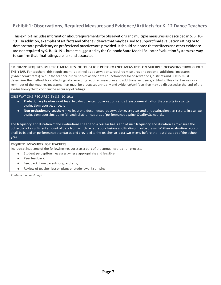# **Exhibit 1: Observations, Required Measures and Evidence/Artifacts for K–12 Dance Teachers**

This exhibit includes information about requirements for observations and multiple measures as described in S. B. 10- 191. In addition, examples of artifacts and other evidence that may be used to support final evaluation ratings or to demonstrate proficiency on professional practices are provided. It should be noted that artifacts and other evidence are not required by S. B. 10-191, but are suggested by the Colorado State Model Educator Evaluation System as a way to confirm that final ratings are fair and accurate.

**S.B. 10-191 REQUIRES MULTIPLE MEASURES OF EDUCATOR PERFORMANCE MEASURED ON MULTIPLE OCCASIONS THROUGHOUT THE YEAR.** For teachers, this requirement is defined as observations, required measures and optional additional measures (evidence/artifacts). While the teacher rubric serves as the data collection tool for observations, districts and BOCES must determine the method for collecting data regarding required measures and additional evidence/artifacts. This chart serves as a reminder of the required measures that must be discussed annually and evidence/artifacts that may be discussed at the end of the evaluation cycle to confirm the accuracy of ratings.

#### OBSERVATIONS REQUIRED BY S.B. 10-191:

- **Probationary teachers –** At leasttwo documented observations and atleastoneevaluation thatresults in a written evaluation report eachyear.
- **Non-probationary teachers –** At least one documented observation every year and one evaluation that results in a written evaluation reportincluding fairand reliablemeasures of performanceagainstQuality Standards.

The frequency and duration of the evaluations shall be on a regular basis and of such frequency and duration as to ensure the collection of a sufficient amount of data from which reliable conclusions and findings may be drawn. Written evaluation reports shall be based on performance standards and provided to the teacher at least two weeks before the last class day of the school year.

#### **REQUIRED MEASURES FOR TEACHERS:**

Include at least one of the following measures as a part of the annual evaluation process.

- Student perception measures, where appropriate and feasible;
- Peer feedback;
- Feedback from parents or guardians;
- Review of teacher lesson plans or student work samples.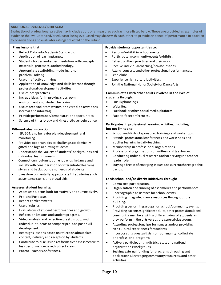#### **ADDITIONAL EVIDENCE/ARTIFACTS:**

Evaluation of professional practice may include additional measures such as those listed below. These are provided as examples of evidence the evaluator and/or educator being evaluated may share with each other to provide evidence of performance in addition to observations and evaluator ratings collected on the rubric.

#### **Plans lessons that:**

- Reflect Colorado Academic Standards.
- Application of learningtargets
- Student choices and experimentation with concepts, materials, processes, andtechnology.
- Appropriate scaffolding, modeling, and problem- solving.
- Use of reflectivethinking
- Application of knowledge and skills learned through professional developmentactivities
- Use of best practices
- Include ideas for improving classroom environment and student behavior.
- Use of feedback from written and verbal observations (formal and informal)
- Provideperformance/demonstrationopportunities
- Science of kinesiology and kinesthetic sensein dance

#### **Differentiates instruction:**

- IEP, 504, and behavior plan development and monitoring.
- Provides opportunities to challenge academically gifted and high achievingstudents.
- Understands the variety of students' backgrounds and individual learningneeds
- Connect curriculum to current trends in dance and society with consideration of differentiatedlearning styles and background and needs of students
- Uses developmentally appropriate ELL strategies such as sentence stems and visual aids.

#### **Assesses student learning:**

- Assesses students both formatively and summatively.
- Pre- and Post-tests
- Report cardcomments.
- Use ofrubrics.
- Evaluations of student performances and growth.
- Reflects on lessons and student progress.
- Video analysis and reflection of self, group, and individualstudents to comparepre- and post-skill development.
- Redesigns lessons based on reflection about class content, delivery and reception by students.
- Contribute to discussions of formative assessment with less performance-based subject areas.
- Parent-Teacher Conferences.

#### **Provide students opportunities to:**

- Perform/exhibit in school events.
- Participatein communityevents/exhibits.
- Reflect on their practices and their work
- Receive individualcoaching/privatelessons.
- Attend concerts and other professional performances.
- Lead clubs.
- Experience rich cultural activities.
- Join the National Honor Society for DanceArts.

#### **Communicates with other adults involved in the lives of students through:**

- Email/phonelogs.
- Websites.
- Facebook or other socialmedia platform
- Face-to-faceconferences.

#### **Participates in professional learning activities, including but not limited to:**

- School and district sponsored trainings and workshops.
- Attends professional conferences and workshops and applies learning in dailyteaching.
- Membership in professional organizations.
- Professional organization committees and taskforces.
- Conducting individual research and/or serving in a teacherleader role.
- Staying abreastof emerging issues and currentchoreographic trends.

#### **Leads school and/or district initiatives through:**

- Committee participation.
- Organization and running of assemblies and performances.
- Choreographic assistance for school events.
- Providing integrated dance resources throughout the building.
- Providing performing groups for school/communityevents.
- Providing parents/significant adults, other professionals and community members with a different view of students as they perform in the arts versus the general classroom.
- Attending professional performances and/or providing rich cultural experiences forstudents
- Incorporating guest artists from community, collegiate or professionalprograms
- Actively participating in district, state and national organizations workgroups.
- Seeking external funding for programs through grant applications, leveraging community resources, and other activities.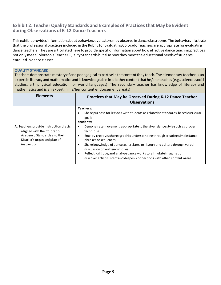### **Exhibit 2: Teacher Quality Standards and Examples of Practices that May be Evident duringObservations of K-12 Dance Teachers**

This exhibit provides information about behaviors evaluators may observe in dance classrooms. The behaviors illustrate that the professional practices included in the Rubric for Evaluating Colorado Teachers are appropriate for evaluating dance teachers. They are articulated here to provide specific information about how effective dance teaching practices not only meet Colorado's Teacher Quality Standards but also how they meet the educational needs of students enrolled in dance classes.

#### **QUALITY STANDARD I**

Teachers demonstrate mastery of and pedagogical expertise in the content they teach. The elementary teacher is an expert in literacy and mathematics and is knowledgeable in all other content that he/she teaches (e.g., science, social studies, art, physical education, or world languages). The secondary teacher has knowledge of literacy and mathematics and is an expert in his/her content endorsement area(s).

| <b>Elements</b>                                                                                                                                      | Practices that May be Observed During K-12 Dance Teacher<br><b>Observations</b>                                                                                                                                                                                                                                                                                                                                                                                                                                                                                                                                        |
|------------------------------------------------------------------------------------------------------------------------------------------------------|------------------------------------------------------------------------------------------------------------------------------------------------------------------------------------------------------------------------------------------------------------------------------------------------------------------------------------------------------------------------------------------------------------------------------------------------------------------------------------------------------------------------------------------------------------------------------------------------------------------------|
| A. Teachers provide instruction that is<br>aligned with the Colorado<br>Academic Standards and their<br>District's organized plan of<br>instruction. | <b>Teachers:</b><br>Share purpose for lessons with students as related to standards-based curricular<br>goals.<br>Students:<br>Demonstrate movement appropriate to the given dance style such as proper<br>٠<br>technique.<br>Employ creative/choreographic understanding through creating simple dance<br>$\bullet$<br>phrases or sequences.<br>Share knowledge of dance as it relates to history and culture through verbal<br>discussion or written critiques.<br>Reflect, critique, and analyze dance works to stimulate imagination,<br>discover artistic intent and deepen connections with other content areas. |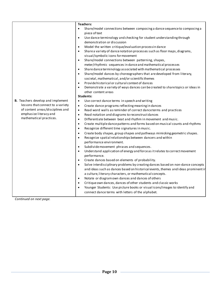|                                   | Teachers:<br>Share/model connections between composing a dance sequence to composing a<br>$\bullet$                 |
|-----------------------------------|---------------------------------------------------------------------------------------------------------------------|
|                                   | piece of text                                                                                                       |
|                                   | Use dance terminology and checking for student understanding through<br>$\bullet$                                   |
|                                   | demonstration or discussion                                                                                         |
|                                   | Model the written critique/evaluation processin dance<br>$\bullet$                                                  |
|                                   | Share a variety of dance notation processes such as floor maps, diagrams,<br>$\bullet$                              |
|                                   | visual/symbolic icons for movement                                                                                  |
|                                   | Share/model connections between patterning, shapes,<br>$\bullet$                                                    |
|                                   | meter/rhythmic sequences in dance and mathematical processes                                                        |
|                                   | Share dance terminology associated with mathematical processes<br>$\bullet$                                         |
|                                   | Share/model dances by choreographers that are developed from literary,<br>$\bullet$                                 |
|                                   | societal, mathematical, and/or scientific themes                                                                    |
|                                   | Provide historical or cultural context of dances<br>$\bullet$                                                       |
|                                   | Demonstrate a variety of ways dances can be created to share topics or ideas in<br>$\bullet$<br>other content areas |
|                                   | <b>Students:</b>                                                                                                    |
| B. Teachers develop and implement | Use correct dance terms in speech and writing<br>$\bullet$                                                          |
| lessons that connect to a variety | Create dance programs reflecting meaning in dances<br>$\bullet$                                                     |
| of content areas/disciplines and  | Read word walls as reminder of correct dance terms and practices<br>$\bullet$                                       |
| emphasize literacy and            | Read notation and diagrams to reconstruct dances<br>$\bullet$                                                       |
| mathematical practices.           | Differentiate between beat and rhythm in movement and music.<br>$\bullet$                                           |
|                                   | Create multiple dance patterns and forms based on musical counts and rhythms<br>$\bullet$                           |
|                                   | Recognize different time signatures in music.<br>$\bullet$                                                          |
|                                   | Create body shapes, group shapes and pathways mimicking geometric shapes.<br>$\bullet$                              |
|                                   | Recognize spatial relationships between dancers and within<br>$\bullet$                                             |
|                                   | performance environment.                                                                                            |
|                                   | Subdivide movement phrases and sequences.<br>$\bullet$                                                              |
|                                   | Understand application of energy and force as it relates to correct movement<br>$\bullet$                           |
|                                   | performance.                                                                                                        |
|                                   | Create dances based on elements of probability.<br>$\bullet$                                                        |
|                                   | Solve interdisciplinary problems by creating dances based on non-dance concepts<br>$\bullet$                        |
|                                   | and ideas such as dances based on historical events, themes and ideas prominent in                                  |
|                                   | a culture, literary characters, or mathematical concepts.                                                           |
|                                   | Notate or diagram own dances and dances of others<br>$\bullet$                                                      |
|                                   | Critique own dances, dances of other students and classic works<br>$\bullet$                                        |
|                                   | Younger Students: Use picture books or visualicons/images to identify and                                           |
|                                   | connect dance terms with letters of the alphabet.                                                                   |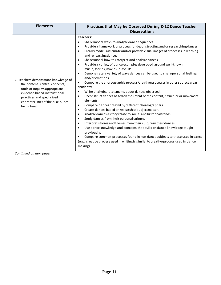| <b>Elements</b>                                                                                                                                                                                                             | Practices that May be Observed During K-12 Dance Teacher<br><b>Observations</b>                                                                                                                                                                                                                                                                                                                                                                                                                                                                                                                                                                                                                                                                                                                                                                                                                                                                                                                                                                                                                                                                                                                                                                                                                                                                                                                                                                                                                  |
|-----------------------------------------------------------------------------------------------------------------------------------------------------------------------------------------------------------------------------|--------------------------------------------------------------------------------------------------------------------------------------------------------------------------------------------------------------------------------------------------------------------------------------------------------------------------------------------------------------------------------------------------------------------------------------------------------------------------------------------------------------------------------------------------------------------------------------------------------------------------------------------------------------------------------------------------------------------------------------------------------------------------------------------------------------------------------------------------------------------------------------------------------------------------------------------------------------------------------------------------------------------------------------------------------------------------------------------------------------------------------------------------------------------------------------------------------------------------------------------------------------------------------------------------------------------------------------------------------------------------------------------------------------------------------------------------------------------------------------------------|
| C. Teachers demonstrate knowledge of<br>the content, central concepts,<br>tools of inquiry, appropriate<br>evidence-based instructional<br>practices and specialized<br>characteristics of the disciplines<br>being taught. | Teachers:<br>Share/model ways to analyze dance sequences<br>$\bullet$<br>Provide a framework or process for deconstructing and or researching dances<br>$\bullet$<br>Clearly model, articulate and/or provide visual images of processes in learning<br>$\bullet$<br>and rehearsing dances<br>Share/model how to interpret and analyze dances<br>$\bullet$<br>Provide a variety of dance examples developed around well-known<br>$\bullet$<br>music, stories, movies, plays, etc.<br>Demonstrate a variety of ways dances can be used to share personal feelings<br>$\bullet$<br>and/or emotions<br>Compare the choreographic process/creative processes in other subject areas<br>Students:<br>Write analytical statements about dances observed.<br>Deconstruct dances based on the intent of the content, structure or movement<br>$\bullet$<br>elements.<br>Compare dances created by different choreographers.<br>$\bullet$<br>Create dances based on research of subject matter.<br>$\bullet$<br>Analyze dances as they relate to social and historical trends.<br>$\bullet$<br>Study dances from their personal culture.<br>$\bullet$<br>Interpret stories and themes from their culture in their dances.<br>٠<br>Use dance knowledge and concepts that build on dance knowledge taught<br>previously.<br>Compare common processes found in non-dance subjects to those used in dance<br>(e.g., creative process used in writing is similar to creative process used in dance<br>making). |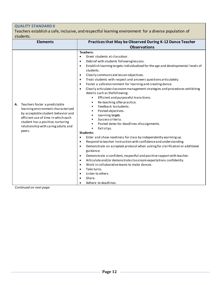# **QUALITY STANDARD II**

Teachers establish a safe, inclusive, and respectful learning environment for a diverse population of students.

| <b>Elements</b>                                                                                                                                                                                                                              | Practices that May be Observed During K-12 Dance Teacher                                                                                                                                                                                                                                                                                                                                                                                                                                                                                                                                                                                                                                                                                                                                                                                                                                                                                                                                                                                                                                                                                                                                                                                                                                                                                                                                                                                                                                                                |
|----------------------------------------------------------------------------------------------------------------------------------------------------------------------------------------------------------------------------------------------|-------------------------------------------------------------------------------------------------------------------------------------------------------------------------------------------------------------------------------------------------------------------------------------------------------------------------------------------------------------------------------------------------------------------------------------------------------------------------------------------------------------------------------------------------------------------------------------------------------------------------------------------------------------------------------------------------------------------------------------------------------------------------------------------------------------------------------------------------------------------------------------------------------------------------------------------------------------------------------------------------------------------------------------------------------------------------------------------------------------------------------------------------------------------------------------------------------------------------------------------------------------------------------------------------------------------------------------------------------------------------------------------------------------------------------------------------------------------------------------------------------------------------|
|                                                                                                                                                                                                                                              | <b>Observations</b>                                                                                                                                                                                                                                                                                                                                                                                                                                                                                                                                                                                                                                                                                                                                                                                                                                                                                                                                                                                                                                                                                                                                                                                                                                                                                                                                                                                                                                                                                                     |
| Teachers foster a predictable<br>А.<br>learning environment characterized<br>by acceptable student behavior and<br>efficient use of time in which each<br>student has a positive, nurturing<br>relationship with caring adults and<br>peers. | <b>Teachers:</b><br>Greet students at classdoor.<br>$\bullet$<br>Debrief with students followinglessons.<br>$\bullet$<br>Establish learning targets individualized for the age and developmental levels of<br>$\bullet$<br>students.<br>Clearly communicate lesson objectives.<br>$\bullet$<br>Treat students with respect and answers questions articulately.<br>$\bullet$<br>Foster a safe environment for learning and creating dance.<br>$\bullet$<br>Clearly articulate classroom management strategies and procedures exhibiting<br>$\bullet$<br>details such as the following:<br>Efficient and purposeful transitions.<br>Re-teaching after practice.<br>$\bullet$<br>Feedback tostudents.<br>$\bullet$<br>Posted objectives.<br>Learning targets.<br>Success criteria.<br>Posted dates for deadlines of assignments.<br>$\bullet$<br>Exitslips.<br>$\bullet$<br><b>Students:</b><br>Enter and show readiness for class by independently warming up.<br>$\bullet$<br>Respond to teacher instruction with confidence and understanding.<br>$\bullet$<br>Demonstrate an accepted protocol when asking for clarification or additional<br>$\bullet$<br>guidance.<br>Demonstrate a confident, respectful and positive rapport with teacher.<br>$\bullet$<br>Articulate and/or demonstrate classroom expectations confidently.<br>$\bullet$<br>Work in collaborative teams to make dances.<br>$\bullet$<br>Take turns.<br>$\bullet$<br>Listen to others.<br>$\bullet$<br>Share.<br>$\bullet$<br>Adhere to deadlines. |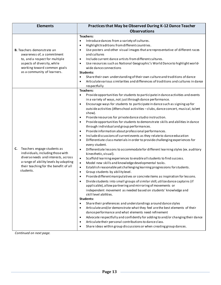| <b>Elements</b>                                                                                                                                                                                              | Practices that May be Observed During K-12 Dance Teacher                                                                                                                                                                                                                                                                                                                                                                                                                                                                                                                                                                                                                                                                                                                                                                                                                                                                                                                                                                                                                                                                                                                                                                                                                                                                                                                                                                                                                                                                                                                                                                                                                                                                                                                                                                                                                                                                                                                                                                                                                                                                                                              |
|--------------------------------------------------------------------------------------------------------------------------------------------------------------------------------------------------------------|-----------------------------------------------------------------------------------------------------------------------------------------------------------------------------------------------------------------------------------------------------------------------------------------------------------------------------------------------------------------------------------------------------------------------------------------------------------------------------------------------------------------------------------------------------------------------------------------------------------------------------------------------------------------------------------------------------------------------------------------------------------------------------------------------------------------------------------------------------------------------------------------------------------------------------------------------------------------------------------------------------------------------------------------------------------------------------------------------------------------------------------------------------------------------------------------------------------------------------------------------------------------------------------------------------------------------------------------------------------------------------------------------------------------------------------------------------------------------------------------------------------------------------------------------------------------------------------------------------------------------------------------------------------------------------------------------------------------------------------------------------------------------------------------------------------------------------------------------------------------------------------------------------------------------------------------------------------------------------------------------------------------------------------------------------------------------------------------------------------------------------------------------------------------------|
|                                                                                                                                                                                                              | <b>Observations</b>                                                                                                                                                                                                                                                                                                                                                                                                                                                                                                                                                                                                                                                                                                                                                                                                                                                                                                                                                                                                                                                                                                                                                                                                                                                                                                                                                                                                                                                                                                                                                                                                                                                                                                                                                                                                                                                                                                                                                                                                                                                                                                                                                   |
| <b>B.</b> Teachers demonstrate an<br>awareness of, a commitment<br>to, and a respect for multiple<br>aspects of diversity, while<br>working toward common goals<br>as a community of learners.               | <b>Teachers:</b><br>Introduce dances from a variety of cultures.<br>$\bullet$<br>Highlight traditions from different countries.<br>$\bullet$<br>Use posters and other visual images that are representative of different races<br>$\bullet$<br>and cultures<br>Include current dance artists from different cultures.<br>$\bullet$<br>Use resources such as National Geographic's World Dance to highlight world-<br>$\bullet$<br>wide dance connections<br><b>Students:</b><br>Share their own understanding of their own culture and traditions of dance<br>$\bullet$<br>Articulate various similarities and differences of traditions and cultures in dance<br>٠<br>respectfully                                                                                                                                                                                                                                                                                                                                                                                                                                                                                                                                                                                                                                                                                                                                                                                                                                                                                                                                                                                                                                                                                                                                                                                                                                                                                                                                                                                                                                                                                   |
| Teachers engage students as<br>C.<br>individuals, including those with<br>diverse needs and interests, across<br>a range of ability levels by adapting<br>their teaching for the benefit of all<br>students. | <b>Teachers:</b><br>$\bullet$<br>Provide opportunities for students to participate in dance activities and events<br>in a variety of ways, not just through dance performance.<br>Encourage ways for students to participate in dance such as signing up for<br>$\bullet$<br>outside activities (Afterschool activities - clubs, dance concert, musical, talent<br>show).<br>Provide resources for private dance studio instruction.<br>$\bullet$<br>Provide opportunities for students to demonstrate skills and abilities in dance<br>$\bullet$<br>through individual and group performances.<br>Provide information about professional performances.<br>$\bullet$<br>Include discussions of current events as they relate to dance education<br>$\bullet$<br>Differentiate class materials in order to provide challenging experiences for<br>$\bullet$<br>every student.<br>Differentiate lessons to accommodate for different learning styles (ex. auditory<br>$\bullet$<br>kinesthetic, visual).<br>Scaffold learning experiences to enable all students to find success.<br>$\bullet$<br>Model new skills and knowledge developmental tasks.<br>$\bullet$<br>Establish reasonable yet challenging learning progressions for students.<br>$\bullet$<br>Group students by ability level.<br>$\bullet$<br>Provide different manipulatives or concrete items as inspiration for lessons.<br>$\bullet$<br>Divide students into small groups of similar skill, utilize dance captains (if<br>$\bullet$<br>applicable), allow partnering and mirroring of movements or<br>independent movement as needed based on students' knowledge and<br>skilllevel abilities.<br>Students:<br>Share their preferences and understandings around dance styles<br>$\bullet$<br>Articulate and/or demonstrate what they feel are the best elements of their<br>$\bullet$<br>dance performance and what elements need refinement<br>Advocate respectfully and confidently for adding to and/or changing their dance<br>$\bullet$<br>Articulate their personal contributions to dance class.<br>٠<br>Share ideas within group discussions or when creating group dances.<br>$\bullet$ |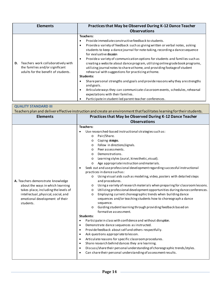| <b>Elements</b>                                                                                                    | Practices that May be Observed During K-12 Dance Teacher<br><b>Observations</b>                                                                                                                                                                                                                                                                                                                                                                                                                                                                                                                                                                                                                                                                                                                                                                                                                            |
|--------------------------------------------------------------------------------------------------------------------|------------------------------------------------------------------------------------------------------------------------------------------------------------------------------------------------------------------------------------------------------------------------------------------------------------------------------------------------------------------------------------------------------------------------------------------------------------------------------------------------------------------------------------------------------------------------------------------------------------------------------------------------------------------------------------------------------------------------------------------------------------------------------------------------------------------------------------------------------------------------------------------------------------|
| Teachers work collaboratively with<br>D.<br>the families and/or significant<br>adults for the benefit of students. | <b>Teachers:</b><br>Provide immediate constructive feedback to students.<br>٠<br>Provide a variety of feedback such as giving written or verbal notes, asking<br>$\bullet$<br>students to keep a dance journal for note-taking, recording a dance sequence<br>for evaluative discussion<br>Provide a variety of communication options for students and families such as<br>٠<br>creating a website about dance program, utilizing online grade book programs,<br>utilizing journal notes to share at home, and providing footage of student<br>rehearsal with suggestions for practicing at home.<br>Students:<br>Share personal strengths and goals and provide reasons why they are strengths<br>٠<br>and goals.<br>Articulate ways they can communicate classroom events, schedules, rehearsal<br>٠<br>expectations with their families.<br>Participate in student-led parent-teacher conferences.<br>٠ |

| <b>QUALITY STANDARD III</b>                                                                                                                                                                         |                                                                                                                                                                                                                                                                                                                                                                                                                                                                                                                                                                                                                                                                                                                                                                                                                                                                                                                                                                                                                                                                                                                                                                                                                                                                                                                                                                                                                                                                                                                                                                                                                                 |
|-----------------------------------------------------------------------------------------------------------------------------------------------------------------------------------------------------|---------------------------------------------------------------------------------------------------------------------------------------------------------------------------------------------------------------------------------------------------------------------------------------------------------------------------------------------------------------------------------------------------------------------------------------------------------------------------------------------------------------------------------------------------------------------------------------------------------------------------------------------------------------------------------------------------------------------------------------------------------------------------------------------------------------------------------------------------------------------------------------------------------------------------------------------------------------------------------------------------------------------------------------------------------------------------------------------------------------------------------------------------------------------------------------------------------------------------------------------------------------------------------------------------------------------------------------------------------------------------------------------------------------------------------------------------------------------------------------------------------------------------------------------------------------------------------------------------------------------------------|
|                                                                                                                                                                                                     | Teachers plan and deliver effective instruction and create an environment that facilitates learning for their students.                                                                                                                                                                                                                                                                                                                                                                                                                                                                                                                                                                                                                                                                                                                                                                                                                                                                                                                                                                                                                                                                                                                                                                                                                                                                                                                                                                                                                                                                                                         |
| <b>Elements</b>                                                                                                                                                                                     | Practices that May be Observed During K-12 Dance Teacher                                                                                                                                                                                                                                                                                                                                                                                                                                                                                                                                                                                                                                                                                                                                                                                                                                                                                                                                                                                                                                                                                                                                                                                                                                                                                                                                                                                                                                                                                                                                                                        |
|                                                                                                                                                                                                     | <b>Observations</b>                                                                                                                                                                                                                                                                                                                                                                                                                                                                                                                                                                                                                                                                                                                                                                                                                                                                                                                                                                                                                                                                                                                                                                                                                                                                                                                                                                                                                                                                                                                                                                                                             |
| A. Teachers demonstrate knowledge<br>about the ways in which learning<br>takes place, including the levels of<br>intellectual, physical, social, and<br>emotional development of their<br>students. | <b>Teachers:</b><br>Use researched-based instructional strategies such as:<br>Pair/Share.<br>$\circ$<br>Coping strategies.<br>$\circ$<br>Follow in directions/signals.<br>$\circ$<br>Peer assessments.<br>$\circ$<br>Demonstrations.<br>$\circ$<br>Learning styles (aural, kinesthetic, visual).<br>$\circ$<br>Age appropriate instruction and materials.<br>$\circ$<br>Seek out and use professional development regarding successful instructional<br>practices in dance suchas:<br>Using visual aids such as modeling, video, posters with detailed steps<br>$\circ$<br>and procedures.<br>Using a variety of research materials when preparing for classroom lessons.<br>$\circ$<br>Utilizing professional development opportunities during dance conferences.<br>$\circ$<br>Employing current choreographic trends when building dance<br>$\circ$<br>sequences and/or teaching students how to choreograph a dance<br>sequence.<br>Guiding student learning through providing feedback based on<br>$\circ$<br>formative assessment.<br><b>Students:</b><br>Participate in class with confidence and without disruption.<br>$\bullet$<br>Demonstrate dance sequences as instructed.<br>$\bullet$<br>Provide feedback about self and others respectfully.<br>$\bullet$<br>Ask questions appropriate tolesson.<br>$\bullet$<br>Articulate reasons for specific classroom procedures.<br>$\bullet$<br>Share research behind dances they are learning.<br>$\bullet$<br>Discuss/share their personal understanding of choreographic trends/styles.<br>$\bullet$<br>Can share their personal understanding of assessment results. |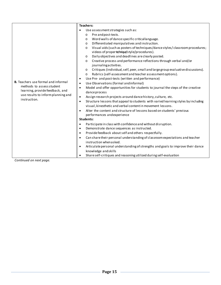| <b>B.</b> Teachers use formal and informal<br>methods to assess student<br>learning, provide feedback, and<br>use results to inform planning and<br>instruction. | <b>Teachers:</b><br>Use assessment strategies such as:<br>$\bullet$<br>Pre and post-tests.<br>$\circ$<br>Word walls of dance specific critical language.<br>$\circ$<br>Differentiated manipulatives and instruction.<br>$\circ$<br>Visual aids (such as posters of techniques/dance styles/classroom procedures;<br>$\circ$<br>videos of propertednique/style/procedures).<br>Daily objectives and deadlines are clearly posted.<br>$\circ$<br>Creative process and performance reflections through verbal and/or<br>$\circ$<br>journalingactivities.<br>Critiques (individual, self, peer, small and large group evaluative discussions).<br>$\circ$<br>Rubrics (self-assessment and teacher assessment options).<br>$\circ$<br>Use Pre- and post-tests (written and performance)<br>$\bullet$<br>Use Observations (formal andinformal)<br>$\bullet$<br>Model and offer opportunities for students to journal the steps of the creative<br>$\bullet$<br>dance process<br>Assign research projects around dance history, culture, etc.<br>$\bullet$<br>Structure lessons that appeal to students with varied learning styles by including<br>$\bullet$<br>visual, kinesthetic and verbal content in movement lessons. |
|------------------------------------------------------------------------------------------------------------------------------------------------------------------|-----------------------------------------------------------------------------------------------------------------------------------------------------------------------------------------------------------------------------------------------------------------------------------------------------------------------------------------------------------------------------------------------------------------------------------------------------------------------------------------------------------------------------------------------------------------------------------------------------------------------------------------------------------------------------------------------------------------------------------------------------------------------------------------------------------------------------------------------------------------------------------------------------------------------------------------------------------------------------------------------------------------------------------------------------------------------------------------------------------------------------------------------------------------------------------------------------------------------|
|                                                                                                                                                                  |                                                                                                                                                                                                                                                                                                                                                                                                                                                                                                                                                                                                                                                                                                                                                                                                                                                                                                                                                                                                                                                                                                                                                                                                                       |
|                                                                                                                                                                  |                                                                                                                                                                                                                                                                                                                                                                                                                                                                                                                                                                                                                                                                                                                                                                                                                                                                                                                                                                                                                                                                                                                                                                                                                       |
|                                                                                                                                                                  |                                                                                                                                                                                                                                                                                                                                                                                                                                                                                                                                                                                                                                                                                                                                                                                                                                                                                                                                                                                                                                                                                                                                                                                                                       |
|                                                                                                                                                                  |                                                                                                                                                                                                                                                                                                                                                                                                                                                                                                                                                                                                                                                                                                                                                                                                                                                                                                                                                                                                                                                                                                                                                                                                                       |
|                                                                                                                                                                  |                                                                                                                                                                                                                                                                                                                                                                                                                                                                                                                                                                                                                                                                                                                                                                                                                                                                                                                                                                                                                                                                                                                                                                                                                       |
|                                                                                                                                                                  |                                                                                                                                                                                                                                                                                                                                                                                                                                                                                                                                                                                                                                                                                                                                                                                                                                                                                                                                                                                                                                                                                                                                                                                                                       |
|                                                                                                                                                                  |                                                                                                                                                                                                                                                                                                                                                                                                                                                                                                                                                                                                                                                                                                                                                                                                                                                                                                                                                                                                                                                                                                                                                                                                                       |
|                                                                                                                                                                  |                                                                                                                                                                                                                                                                                                                                                                                                                                                                                                                                                                                                                                                                                                                                                                                                                                                                                                                                                                                                                                                                                                                                                                                                                       |
|                                                                                                                                                                  |                                                                                                                                                                                                                                                                                                                                                                                                                                                                                                                                                                                                                                                                                                                                                                                                                                                                                                                                                                                                                                                                                                                                                                                                                       |
|                                                                                                                                                                  |                                                                                                                                                                                                                                                                                                                                                                                                                                                                                                                                                                                                                                                                                                                                                                                                                                                                                                                                                                                                                                                                                                                                                                                                                       |
|                                                                                                                                                                  |                                                                                                                                                                                                                                                                                                                                                                                                                                                                                                                                                                                                                                                                                                                                                                                                                                                                                                                                                                                                                                                                                                                                                                                                                       |
|                                                                                                                                                                  |                                                                                                                                                                                                                                                                                                                                                                                                                                                                                                                                                                                                                                                                                                                                                                                                                                                                                                                                                                                                                                                                                                                                                                                                                       |
|                                                                                                                                                                  |                                                                                                                                                                                                                                                                                                                                                                                                                                                                                                                                                                                                                                                                                                                                                                                                                                                                                                                                                                                                                                                                                                                                                                                                                       |
|                                                                                                                                                                  | Alter the content and structure of lessons based on students' previous<br>$\bullet$<br>performances and experience                                                                                                                                                                                                                                                                                                                                                                                                                                                                                                                                                                                                                                                                                                                                                                                                                                                                                                                                                                                                                                                                                                    |
|                                                                                                                                                                  | Students:                                                                                                                                                                                                                                                                                                                                                                                                                                                                                                                                                                                                                                                                                                                                                                                                                                                                                                                                                                                                                                                                                                                                                                                                             |
|                                                                                                                                                                  |                                                                                                                                                                                                                                                                                                                                                                                                                                                                                                                                                                                                                                                                                                                                                                                                                                                                                                                                                                                                                                                                                                                                                                                                                       |
|                                                                                                                                                                  | Participate in class with confidence and without disruption.<br>$\bullet$                                                                                                                                                                                                                                                                                                                                                                                                                                                                                                                                                                                                                                                                                                                                                                                                                                                                                                                                                                                                                                                                                                                                             |
|                                                                                                                                                                  | Demonstrate dance sequences as instructed.<br>٠                                                                                                                                                                                                                                                                                                                                                                                                                                                                                                                                                                                                                                                                                                                                                                                                                                                                                                                                                                                                                                                                                                                                                                       |
|                                                                                                                                                                  | Provide feedback about self and others respectfully.<br>$\bullet$                                                                                                                                                                                                                                                                                                                                                                                                                                                                                                                                                                                                                                                                                                                                                                                                                                                                                                                                                                                                                                                                                                                                                     |
|                                                                                                                                                                  | Can share their personal understanding of classroom expectations and teacher<br>$\bullet$                                                                                                                                                                                                                                                                                                                                                                                                                                                                                                                                                                                                                                                                                                                                                                                                                                                                                                                                                                                                                                                                                                                             |
|                                                                                                                                                                  | instruction when asked.                                                                                                                                                                                                                                                                                                                                                                                                                                                                                                                                                                                                                                                                                                                                                                                                                                                                                                                                                                                                                                                                                                                                                                                               |
|                                                                                                                                                                  | Articulate personal understanding of strengths and goals to improve their dance                                                                                                                                                                                                                                                                                                                                                                                                                                                                                                                                                                                                                                                                                                                                                                                                                                                                                                                                                                                                                                                                                                                                       |
|                                                                                                                                                                  | knowledge and skills                                                                                                                                                                                                                                                                                                                                                                                                                                                                                                                                                                                                                                                                                                                                                                                                                                                                                                                                                                                                                                                                                                                                                                                                  |
|                                                                                                                                                                  | Share self-critiques and reasoning utilized during self-evaluation                                                                                                                                                                                                                                                                                                                                                                                                                                                                                                                                                                                                                                                                                                                                                                                                                                                                                                                                                                                                                                                                                                                                                    |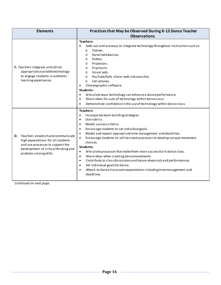| <b>Elements</b>                                                                                                                                                                   | Practices that May be Observed During K-12 Dance Teacher<br><b>Observations</b>                                                                                                                                                                                                                                                                                                                                                                                                                                                                                                                                                                                                                                                                                         |
|-----------------------------------------------------------------------------------------------------------------------------------------------------------------------------------|-------------------------------------------------------------------------------------------------------------------------------------------------------------------------------------------------------------------------------------------------------------------------------------------------------------------------------------------------------------------------------------------------------------------------------------------------------------------------------------------------------------------------------------------------------------------------------------------------------------------------------------------------------------------------------------------------------------------------------------------------------------------------|
| C. Teachers integrate and utilize<br>appropriate available technology<br>to engage students in authentic<br>learning experiences.                                                 | <b>Teachers:</b><br>Seek out and use ways to integrate technology throughout instruction such as:<br>Tablets.<br>$\circ$<br>Hand held devices.<br>$\Omega$<br>Videos.<br>$\circ$<br>Projectors.<br>$\circ$<br>Flipcharts.<br>$\circ$<br>Visual aids.<br>$\Omega$<br>YouTube/Safe share-web sitesearches.<br>$\circ$<br>Cell phones.<br>$\Omega$<br>Choreographic software.<br><b>Students:</b><br>Articulate ways technology can enhance a dance performance.<br>$\bullet$<br>Share ideas for uses of technology within dance class.<br>$\bullet$<br>Demonstrate confidence in the use of technology within dance class.<br>$\bullet$                                                                                                                                   |
| D. Teachers establishand communicate<br>high expectations for all students<br>and use processes to support the<br>development of critical thinking and<br>problem solving skills. | <b>Teachers:</b><br>Incorporate team buildingstrategies.<br>$\bullet$<br>Userubrics.<br>$\bullet$<br>Model success criteria.<br>$\bullet$<br>Encourage students to set individualgoals.<br>$\bullet$<br>Model and expect appropriate time management and deadlines.<br>$\bullet$<br>Encourage students to utilize creative process to develop unique movement<br>$\bullet$<br>choices.<br>Students:<br>Articulate processes that make them most successful in dance class.<br>٠<br>Share ideas when creating dance movements.<br>$\bullet$<br>Contribute to class discussions and dance rehearsals and performances.<br>$\bullet$<br>Set individual goals for dance.<br>$\bullet$<br>Attend to dance classroom expectations including time management and<br>deadlines. |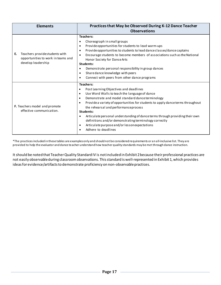| <b>Elements</b>                                                                                 | Practices that May be Observed During K-12 Dance Teacher<br><b>Observations</b>                                                                                                                                                                                                                                                                                                                                                                                                                                                                                                     |
|-------------------------------------------------------------------------------------------------|-------------------------------------------------------------------------------------------------------------------------------------------------------------------------------------------------------------------------------------------------------------------------------------------------------------------------------------------------------------------------------------------------------------------------------------------------------------------------------------------------------------------------------------------------------------------------------------|
| Teachers providestudents with<br>Е.<br>opportunities to work in teams and<br>develop leadership | <b>Teachers:</b><br>Choreograph in small groups<br>Provide opportunities for students to lead warm-ups<br>$\bullet$<br>Provide opportunities to students to lead dance classes/dance captains<br>Encourage students to become members of associations such as the National<br>Honor Society for Dance Arts<br>Students:<br>Demonstrate personal responsibility in group dances<br>Share dance knowledge with peers<br>٠<br>Connect with peers from other dance programs                                                                                                             |
| F. Teachers model and promote<br>effective communication.                                       | <b>Teachers:</b><br>Post Learning Objectives and deadlines<br>٠<br>Use Word Walls to teach the language of dance<br>$\bullet$<br>Demonstrate and model standard dance terminology<br>$\bullet$<br>Provide a variety of opportunities for students to apply dance terms throughout<br>$\bullet$<br>the rehearsal and performance process<br>Students:<br>Articulate personal understanding of dance terms through providing their own<br>definitions and/or demonstrating terminology correctly<br>Articulate purpose and/or lesson expectations<br>$\bullet$<br>Adhere to deadlines |

\*The practices included in these tables are examples only and should not be considered requirements or an all-inclusive list. They are provided to help the evaluator and dance teacher understand how teacher quality standards may be met through dance instruction.

It should be noted that Teacher Quality Standard IV is not included in Exhibit 2 because their professional practices are not easily observable during classroom observations. This standard iswell-represented in Exhibit 1, which provides ideas for evidence/artifacts to demonstrate proficiency on non-observable practices.